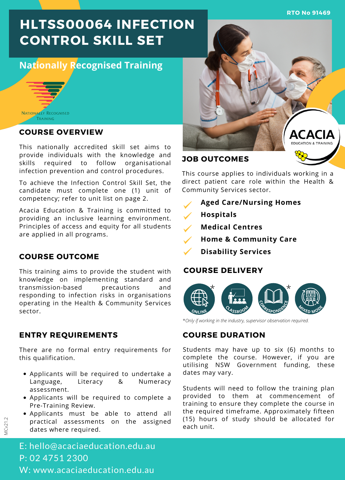**RTO No 91469**

# **HLTSS00064 INFECTION CONTROL SKILL SET**

# **Nationally Recognised Training**



### **COURSE OVERVIEW**

This nationally accredited skill set aims to provide individuals with the knowledge and skills required to follow organisational infection prevention and control procedures.

To achieve the Infection Control Skill Set, the candidate must complete one (1) unit of competency; refer to unit list on page 2.

Acacia Education & Training is committed to providing an inclusive learning environment. Principles of access and equity for all students are applied in all programs.

### **COURSE OUTCOME**

This training aims to provide the student with knowledge on implementing standard and transmission-based precautions and responding to infection risks in organisations operating in the Health & Community Services sector.

### **ENTRY REQUIREMENTS**

There are no formal entry requirements for this qualification.

- Applicants will be required to undertake a Language, Literacy & Numeracy assessment.
- Applicants will be required to complete a Pre-Training Review.
- Applicants must be able to attend all practical assessments on the assigned dates where required.



### **JOB OUTCOMES**

This course applies to individuals working in a direct patient care role within the Health & Community Services sector.

- **Aged Care/Nursing Homes**
- **Hospitals**
- **Medical Centres**  $\overline{\mathscr{S}}$
- **Home & Community Care**
- **Disability Services**

#### **COURSE DELIVERY**



\**Only if working in the industry, supervisor observation required.*

# **COURSE DURATION**

Students may have up to six (6) months to complete the course. However, if you are utilising NSW Government funding, these dates may vary.

Students will need to follow the training plan provided to them at commencement of training to ensure they complete the course in the required timeframe. Approximately fifteen (15) hours of study should be allocated for each unit.

MCv21.2

E: hello@acaciaeducation.edu.au P: 02 4751 2300 W: www.acaciaeducation.edu.au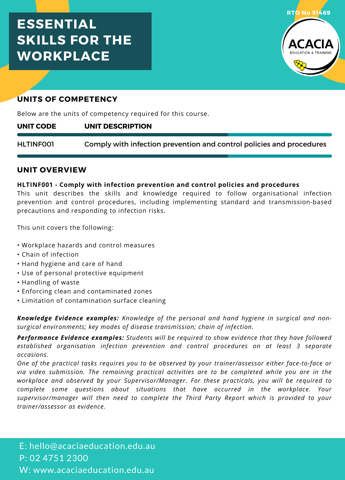# **ESSENTIAL SKILLS FOR THE WORKPLACE**



# **UNITS OF COMPETENCY**

Below are the units of competency required for this course.

#### **UNIT DESCRIPTION UNIT CODE**

Comply with infection prevention and control policies and procedures HLTINF001

### **UNIT OVERVIEW**

### **HLTINF001 - Comply with infection prevention and control policies and procedures**

This unit describes the skills and knowledge required to follow organisational infection prevention and control procedures, including implementing standard and transmission-based precautions and responding to infection risks.

This unit covers the following:

- Workplace hazards and control measures
- Chain of infection
- Hand hygiene and care of hand
- Use of personal protective equipment
- Handling of waste
- Enforcing clean and contaminated zones
- Limitation of contamination surface cleaning

*Knowledge Evidence examples: Knowledge of the personal and hand hygiene in surgical and non surgical environments; key modes of disease transmission; chain ofinfection.*

*Performance Evidence examples: Students will be required to show evidence that they have followed established organisation infection prevention and control procedures on at least 3 separate occasions.*

*One of the practical tasks requires you to be observed by your trainer/assessor either face-to-face or via video submission. The remaining practical activities are to be completed while you are in the workplace and observed by your Supervisor/Manager. For these practicals, you will be required to complete some questions about situations that have occurred in the workplace. Your supervisor/manager will then need to complete the Third Party Report which is provided to your trainer/assessor as evidence.*